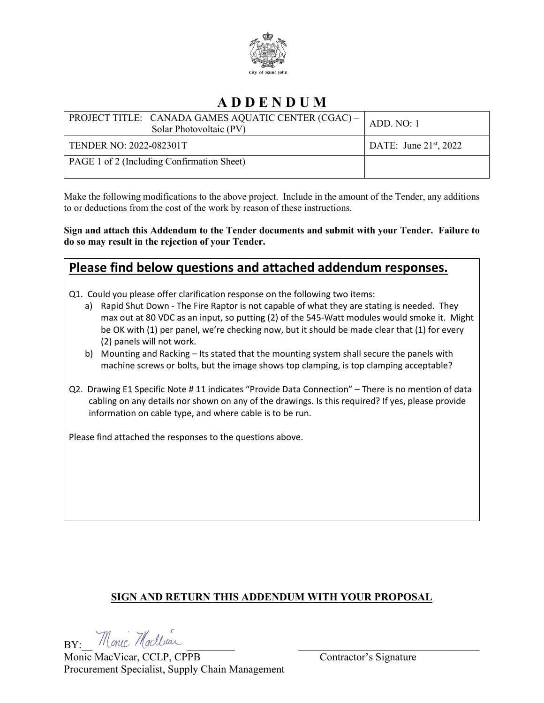

## **A D D E N D U M**

| PROJECT TITLE: CANADA GAMES AQUATIC CENTER (CGAC) -  <br>Solar Photovoltaic (PV) | ADD. NO: 1               |
|----------------------------------------------------------------------------------|--------------------------|
| TENDER NO: 2022-082301T                                                          | DATE: June $21st$ , 2022 |
| PAGE 1 of 2 (Including Confirmation Sheet)                                       |                          |

Make the following modifications to the above project. Include in the amount of the Tender, any additions to or deductions from the cost of the work by reason of these instructions.

**Sign and attach this Addendum to the Tender documents and submit with your Tender. Failure to do so may result in the rejection of your Tender.**

### **Please find below questions and attached addendum responses.**

Q1. Could you please offer clarification response on the following two items:

- a) Rapid Shut Down The Fire Raptor is not capable of what they are stating is needed. They max out at 80 VDC as an input, so putting (2) of the 545-Watt modules would smoke it. Might be OK with (1) per panel, we're checking now, but it should be made clear that (1) for every (2) panels will not work.
- b) Mounting and Racking Its stated that the mounting system shall secure the panels with machine screws or bolts, but the image shows top clamping, is top clamping acceptable?
- Q2. Drawing E1 Specific Note # 11 indicates "Provide Data Connection" There is no mention of data cabling on any details nor shown on any of the drawings. Is this required? If yes, please provide information on cable type, and where cable is to be run.

Please find attached the responses to the questions above.

#### **SIGN AND RETURN THIS ADDENDUM WITH YOUR PROPOSAL**

BY: Monic Maclluar

Monic MacVicar, CCLP, CPPB Contractor's Signature Procurement Specialist, Supply Chain Management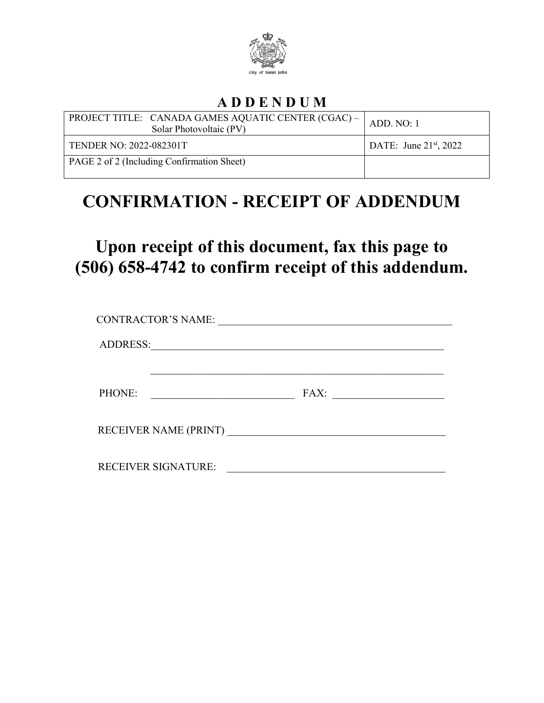

## **A D D E N D U M**

| PROJECT TITLE: CANADA GAMES AQUATIC CENTER (CGAC) -  <br>Solar Photovoltaic (PV) | ADD. NO: 1                  |
|----------------------------------------------------------------------------------|-----------------------------|
| <b>TENDER NO: 2022-082301T</b>                                                   | DATE: June $21^{st}$ , 2022 |
| PAGE 2 of 2 (Including Confirmation Sheet)                                       |                             |

# **CONFIRMATION - RECEIPT OF ADDENDUM**

# **Upon receipt of this document, fax this page to (506) 658-4742 to confirm receipt of this addendum.**

| <b>CONTRACTOR'S NAME:</b>  |      |  |
|----------------------------|------|--|
| ADDRESS:                   |      |  |
| PHONE:                     | FAX: |  |
| RECEIVER NAME (PRINT)      |      |  |
| <b>RECEIVER SIGNATURE:</b> |      |  |